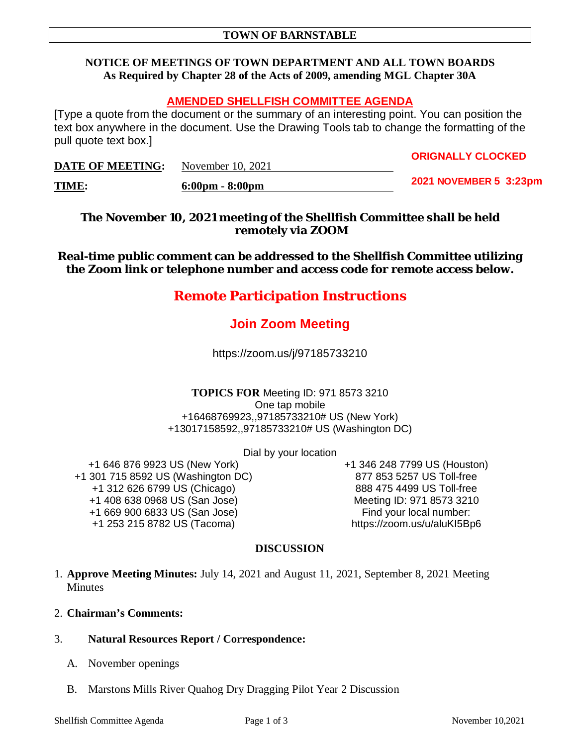## **NOTICE OF MEETINGS OF TOWN DEPARTMENT AND ALL TOWN BOARDS As Required by Chapter 28 of the Acts of 2009, amending MGL Chapter 30A**

# **AMENDED SHELLFISH COMMITTEE AGENDA**

[Type a quote from the document or the summary of an interesting point. You can position the text box anywhere in the document. Use the Drawing Tools tab to change the formatting of the pull quote text box.]

| <b>DATE OF MEETING:</b> | November 10, 2021                 | UNGNALLI ULUUNED       |
|-------------------------|-----------------------------------|------------------------|
| TIME:                   | $6:00 \text{pm} - 8:00 \text{pm}$ | 2021 NOVEMBER 5 3:23pm |

**The November 10, 2021 meeting of the Shellfish Committee shall be held remotely via ZOOM**

**Real-time public comment can be addressed to the Shellfish Committee utilizing the Zoom link or telephone number and access code for remote access below.**

# **Remote Participation Instructions**

# **Join Zoom Meeting**

https://zoom.us/j/97185733210

#### **TOPICS FOR** Meeting ID: 971 8573 3210 One tap mobile +16468769923,,97185733210# US (New York) +13017158592,,97185733210# US (Washington DC)

Dial by your location

+1 646 876 9923 US (New York) +1 301 715 8592 US (Washington DC) +1 312 626 6799 US (Chicago) +1 408 638 0968 US (San Jose) +1 669 900 6833 US (San Jose) +1 253 215 8782 US (Tacoma)

+1 346 248 7799 US (Houston) 877 853 5257 US Toll-free 888 475 4499 US Toll-free Meeting ID: 971 8573 3210 Find your local number: https://zoom.us/u/aluKI5Bp6

**ORIGNALLY CLOCKED**

# **DISCUSSION**

- 1. **Approve Meeting Minutes:** July 14, 2021 and August 11, 2021, September 8, 2021 Meeting Minutes
- 2. **Chairman's Comments:**
- 3. **Natural Resources Report / Correspondence:**
	- A. November openings
	- B. Marstons Mills River Quahog Dry Dragging Pilot Year 2 Discussion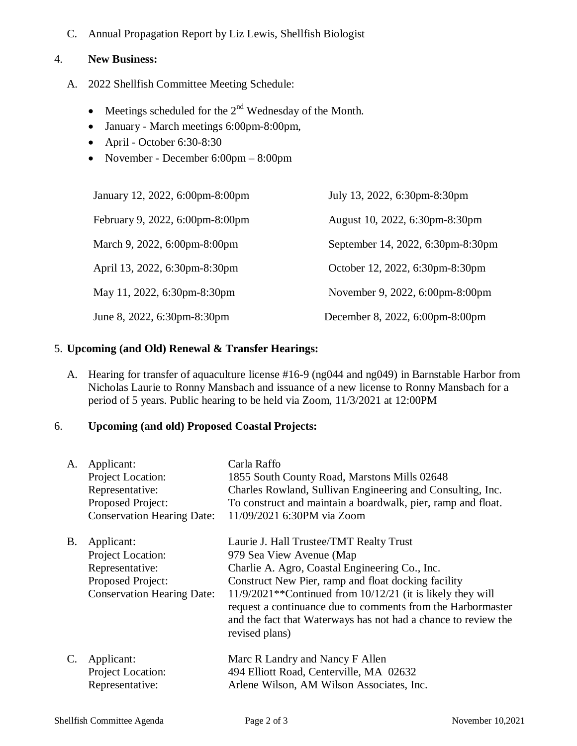C. Annual Propagation Report by Liz Lewis, Shellfish Biologist

### 4. **New Business:**

- A. 2022 Shellfish Committee Meeting Schedule:
	- $\bullet$  Meetings scheduled for the  $2^{nd}$  Wednesday of the Month.
	- January March meetings 6:00pm-8:00pm,
	- $\bullet$  April October 6:30-8:30
	- November December 6:00pm 8:00pm

| January 12, 2022, 6:00pm-8:00pm | July 13, 2022, 6:30pm-8:30pm      |
|---------------------------------|-----------------------------------|
| February 9, 2022, 6:00pm-8:00pm | August 10, 2022, 6:30pm-8:30pm    |
| March 9, 2022, 6:00pm-8:00pm    | September 14, 2022, 6:30pm-8:30pm |
| April 13, 2022, 6:30pm-8:30pm   | October 12, 2022, 6:30pm-8:30pm   |
| May 11, 2022, 6:30pm-8:30pm     | November 9, 2022, 6:00pm-8:00pm   |
| June 8, 2022, 6:30pm-8:30pm     | December 8, 2022, 6:00pm-8:00pm   |

## 5. **Upcoming (and Old) Renewal & Transfer Hearings:**

A. Hearing for transfer of aquaculture license #16-9 (ng044 and ng049) in Barnstable Harbor from Nicholas Laurie to Ronny Mansbach and issuance of a new license to Ronny Mansbach for a period of 5 years. Public hearing to be held via Zoom, 11/3/2021 at 12:00PM

## 6. **Upcoming (and old) Proposed Coastal Projects:**

| A.             | Applicant:<br>Project Location:<br>Representative:<br>Proposed Project:<br><b>Conservation Hearing Date:</b> | Carla Raffo<br>1855 South County Road, Marstons Mills 02648<br>Charles Rowland, Sullivan Engineering and Consulting, Inc.<br>To construct and maintain a boardwalk, pier, ramp and float.<br>11/09/2021 6:30PM via Zoom                                                                                                                                                                            |
|----------------|--------------------------------------------------------------------------------------------------------------|----------------------------------------------------------------------------------------------------------------------------------------------------------------------------------------------------------------------------------------------------------------------------------------------------------------------------------------------------------------------------------------------------|
| <b>B.</b>      | Applicant:<br>Project Location:<br>Representative:<br>Proposed Project:<br><b>Conservation Hearing Date:</b> | Laurie J. Hall Trustee/TMT Realty Trust<br>979 Sea View Avenue (Map<br>Charlie A. Agro, Coastal Engineering Co., Inc.<br>Construct New Pier, ramp and float docking facility<br>$11/9/2021**$ Continued from $10/12/21$ (it is likely they will<br>request a continuance due to comments from the Harbormaster<br>and the fact that Waterways has not had a chance to review the<br>revised plans) |
| $\mathbf{C}$ . | Applicant:<br>Project Location:<br>Representative:                                                           | Marc R Landry and Nancy F Allen<br>494 Elliott Road, Centerville, MA 02632<br>Arlene Wilson, AM Wilson Associates, Inc.                                                                                                                                                                                                                                                                            |